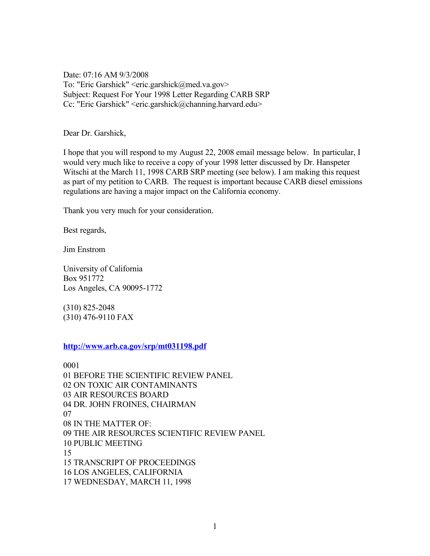Date: 07:16 AM 9/3/2008 To: "Eric Garshick" <eric.garshick@med.va.gov> Subject: Request For Your 1998 Letter Regarding CARB SRP Cc: "Eric Garshick" <eric.garshick@channing.harvard.edu>

Dear Dr. Garshick,

I hope that you will respond to my August 22, 2008 email message below. In particular, I would very much like to receive a copy of your 1998 letter discussed by Dr. Hanspeter Witschi at the March 11, 1998 CARB SRP meeting (see below). I am making this request as part of my petition to CARB. The request is important because CARB diesel emissions regulations are having a major impact on the California economy.

Thank you very much for your consideration.

Best regards,

Jim Enstrom

University of California Box 951772 Los Angeles, CA 90095-1772

(310) 825-2048 (310) 476-9110 FAX

**<http://www.arb.ca.gov/srp/mt031198.pdf>**

0001 01 BEFORE THE SCIENTIFIC REVIEW PANEL 02 ON TOXIC AIR CONTAMINANTS 03 AIR RESOURCES BOARD 04 DR. JOHN FROINES, CHAIRMAN 07 08 IN THE MATTER OF: 09 THE AIR RESOURCES SCIENTIFIC REVIEW PANEL 10 PUBLIC MEETING 15 15 TRANSCRIPT OF PROCEEDINGS 16 LOS ANGELES, CALIFORNIA 17 WEDNESDAY, MARCH 11, 1998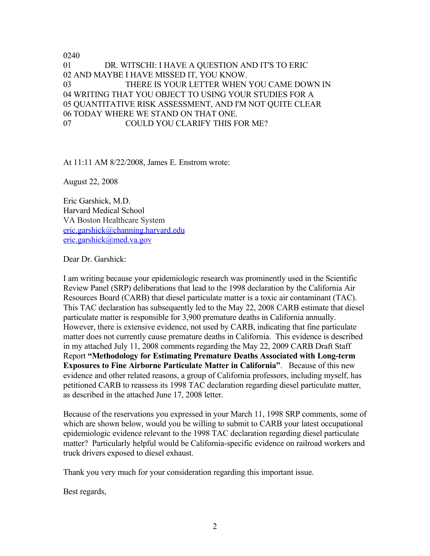0240 01 DR. WITSCHI: I HAVE A QUESTION AND IT'S TO ERIC 02 AND MAYBE I HAVE MISSED IT, YOU KNOW. 03 THERE IS YOUR LETTER WHEN YOU CAME DOWN IN 04 WRITING THAT YOU OBJECT TO USING YOUR STUDIES FOR A 05 QUANTITATIVE RISK ASSESSMENT, AND I'M NOT QUITE CLEAR 06 TODAY WHERE WE STAND ON THAT ONE. 07 COULD YOU CLARIFY THIS FOR ME?

At 11:11 AM 8/22/2008, James E. Enstrom wrote:

August 22, 2008

Eric Garshick, M.D. Harvard Medical School VA Boston Healthcare System [eric.garshick@channing.harvard.edu](mailto:eric.garshick@channing.harvard.edu) [eric.garshick@med.va.gov](mailto:eric.garshick@med.va.gov)

Dear Dr. Garshick:

I am writing because your epidemiologic research was prominently used in the Scientific Review Panel (SRP) deliberations that lead to the 1998 declaration by the California Air Resources Board (CARB) that diesel particulate matter is a toxic air contaminant (TAC). This TAC declaration has subsequently led to the May 22, 2008 CARB estimate that diesel particulate matter is responsible for 3,900 premature deaths in California annually. However, there is extensive evidence, not used by CARB, indicating that fine particulate matter does not currently cause premature deaths in California. This evidence is described in my attached July 11, 2008 comments regarding the May 22, 2009 CARB Draft Staff Report **"Methodology for Estimating Premature Deaths Associated with Long-term Exposures to Fine Airborne Particulate Matter in California"**. Because of this new evidence and other related reasons, a group of California professors, including myself, has petitioned CARB to reassess its 1998 TAC declaration regarding diesel particulate matter, as described in the attached June 17, 2008 letter.

Because of the reservations you expressed in your March 11, 1998 SRP comments, some of which are shown below, would you be willing to submit to CARB your latest occupational epidemiologic evidence relevant to the 1998 TAC declaration regarding diesel particulate matter? Particularly helpful would be California-specific evidence on railroad workers and truck drivers exposed to diesel exhaust.

Thank you very much for your consideration regarding this important issue.

Best regards,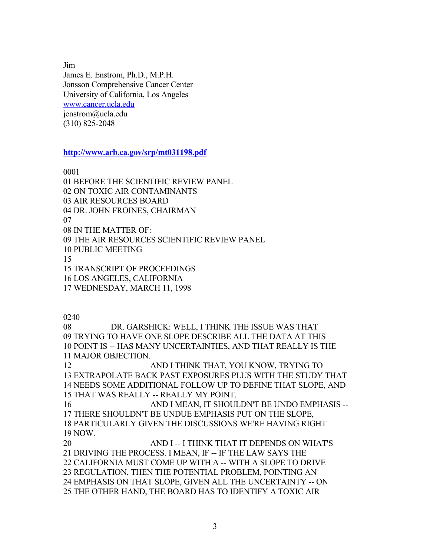Jim James E. Enstrom, Ph.D., M.P.H. Jonsson Comprehensive Cancer Center University of California, Los Angeles [www.cancer.ucla.edu](http://www.cancer.ucla.edu/) jenstrom@ucla.edu (310) 825-2048

**<http://www.arb.ca.gov/srp/mt031198.pdf>**

0001

01 BEFORE THE SCIENTIFIC REVIEW PANEL 02 ON TOXIC AIR CONTAMINANTS 03 AIR RESOURCES BOARD 04 DR. JOHN FROINES, CHAIRMAN 07 08 IN THE MATTER OF: 09 THE AIR RESOURCES SCIENTIFIC REVIEW PANEL 10 PUBLIC MEETING 15 15 TRANSCRIPT OF PROCEEDINGS 16 LOS ANGELES, CALIFORNIA 17 WEDNESDAY, MARCH 11, 1998

0240

08 DR. GARSHICK: WELL, I THINK THE ISSUE WAS THAT 09 TRYING TO HAVE ONE SLOPE DESCRIBE ALL THE DATA AT THIS 10 POINT IS -- HAS MANY UNCERTAINTIES, AND THAT REALLY IS THE 11 MAJOR OBJECTION. 12 AND I THINK THAT, YOU KNOW, TRYING TO 13 EXTRAPOLATE BACK PAST EXPOSURES PLUS WITH THE STUDY THAT 14 NEEDS SOME ADDITIONAL FOLLOW UP TO DEFINE THAT SLOPE, AND 15 THAT WAS REALLY -- REALLY MY POINT. 16 AND I MEAN, IT SHOULDN'T BE UNDO EMPHASIS --17 THERE SHOULDN'T BE UNDUE EMPHASIS PUT ON THE SLOPE, 18 PARTICULARLY GIVEN THE DISCUSSIONS WE'RE HAVING RIGHT 19 NOW. 20 AND I -- I THINK THAT IT DEPENDS ON WHAT'S 21 DRIVING THE PROCESS. I MEAN, IF -- IF THE LAW SAYS THE 22 CALIFORNIA MUST COME UP WITH A -- WITH A SLOPE TO DRIVE 23 REGULATION, THEN THE POTENTIAL PROBLEM, POINTING AN

24 EMPHASIS ON THAT SLOPE, GIVEN ALL THE UNCERTAINTY -- ON 25 THE OTHER HAND, THE BOARD HAS TO IDENTIFY A TOXIC AIR